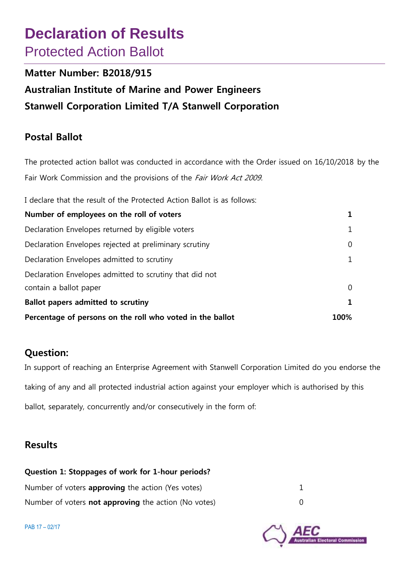# **Declaration of Results**

# Protected Action Ballot

# **Matter Number: B2018/915**

**Australian Institute of Marine and Power Engineers Stanwell Corporation Limited T/A Stanwell Corporation**

# **Postal Ballot**

The protected action ballot was conducted in accordance with the Order issued on 16/10/2018 by the Fair Work Commission and the provisions of the *Fair Work Act 2009.* 

I declare that the result of the Protected Action Ballot is as follows:

| Number of employees on the roll of voters                 |              |
|-----------------------------------------------------------|--------------|
| Declaration Envelopes returned by eligible voters         | $\mathbf{1}$ |
| Declaration Envelopes rejected at preliminary scrutiny    | $\theta$     |
| Declaration Envelopes admitted to scrutiny                |              |
| Declaration Envelopes admitted to scrutiny that did not   |              |
| contain a ballot paper                                    | $\Omega$     |
| Ballot papers admitted to scrutiny                        |              |
| Percentage of persons on the roll who voted in the ballot | 100%         |

## **Question:**

In support of reaching an Enterprise Agreement with Stanwell Corporation Limited do you endorse the taking of any and all protected industrial action against your employer which is authorised by this ballot, separately, concurrently and/or consecutively in the form of:

## **Results**

**Question 1: Stoppages of work for 1-hour periods?**

Number of voters **approving** the action (Yes votes) and the state of  $\frac{1}{1}$ Number of voters **not approving** the action (No votes) 0

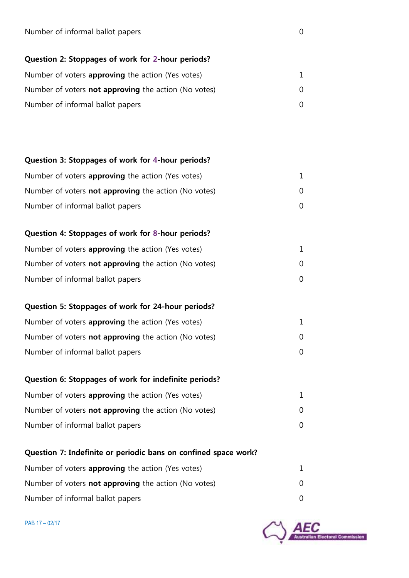#### **Question 2: Stoppages of work for 2-hour periods?**

| Number of voters <b>approving</b> the action (Yes votes)    |  |
|-------------------------------------------------------------|--|
| Number of voters <b>not approving</b> the action (No votes) |  |
| Number of informal ballot papers                            |  |

#### **Question 3: Stoppages of work for 4-hour periods?**

| Number of voters <b>approving</b> the action (Yes votes)    |  |
|-------------------------------------------------------------|--|
| Number of voters <b>not approving</b> the action (No votes) |  |
| Number of informal ballot papers                            |  |

#### **Question 4: Stoppages of work for 8-hour periods?**

| Number of voters <b>approving</b> the action (Yes votes)    |  |
|-------------------------------------------------------------|--|
| Number of voters <b>not approving</b> the action (No votes) |  |
| Number of informal ballot papers                            |  |

### **Question 5: Stoppages of work for 24-hour periods?**

| Number of voters <b>approving</b> the action (Yes votes)    |  |
|-------------------------------------------------------------|--|
| Number of voters <b>not approving</b> the action (No votes) |  |
| Number of informal ballot papers                            |  |

### **Question 6: Stoppages of work for indefinite periods?**

| Number of voters <b>approving</b> the action (Yes votes)    |  |
|-------------------------------------------------------------|--|
| Number of voters <b>not approving</b> the action (No votes) |  |
| Number of informal ballot papers                            |  |

### **Question 7: Indefinite or periodic bans on confined space work?**

| Number of voters <b>approving</b> the action (Yes votes)    |  |
|-------------------------------------------------------------|--|
| Number of voters <b>not approving</b> the action (No votes) |  |
| Number of informal ballot papers                            |  |

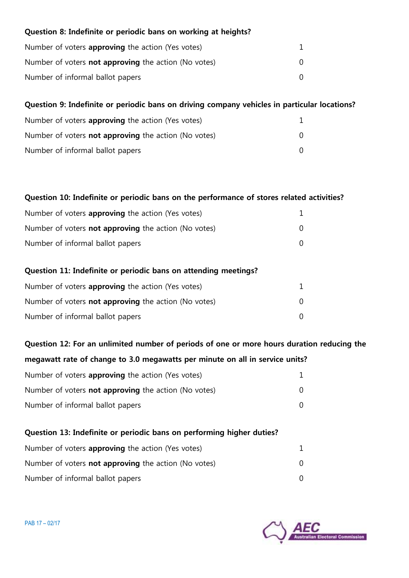| Question 8: Indefinite or periodic bans on working at heights? |  |  |
|----------------------------------------------------------------|--|--|
|----------------------------------------------------------------|--|--|

| Number of voters <b>approving</b> the action (Yes votes)    |  |
|-------------------------------------------------------------|--|
| Number of voters <b>not approving</b> the action (No votes) |  |
| Number of informal ballot papers                            |  |

### **Question 9: Indefinite or periodic bans on driving company vehicles in particular locations?**

| Number of voters <b>approving</b> the action (Yes votes)    |  |
|-------------------------------------------------------------|--|
| Number of voters <b>not approving</b> the action (No votes) |  |
| Number of informal ballot papers                            |  |

#### **Question 10: Indefinite or periodic bans on the performance of stores related activities?**

| Number of voters <b>approving</b> the action (Yes votes)    |  |
|-------------------------------------------------------------|--|
| Number of voters <b>not approving</b> the action (No votes) |  |
| Number of informal ballot papers                            |  |

#### **Question 11: Indefinite or periodic bans on attending meetings?**

| Number of voters <b>approving</b> the action (Yes votes)    |  |
|-------------------------------------------------------------|--|
| Number of voters <b>not approving</b> the action (No votes) |  |
| Number of informal ballot papers                            |  |

### **Question 12: For an unlimited number of periods of one or more hours duration reducing the**

### **megawatt rate of change to 3.0 megawatts per minute on all in service units?**

| Number of voters <b>approving</b> the action (Yes votes)    |  |
|-------------------------------------------------------------|--|
| Number of voters <b>not approving</b> the action (No votes) |  |
| Number of informal ballot papers                            |  |

#### **Question 13: Indefinite or periodic bans on performing higher duties?**

| Number of voters <b>approving</b> the action (Yes votes)    |  |
|-------------------------------------------------------------|--|
| Number of voters <b>not approving</b> the action (No votes) |  |
| Number of informal ballot papers                            |  |

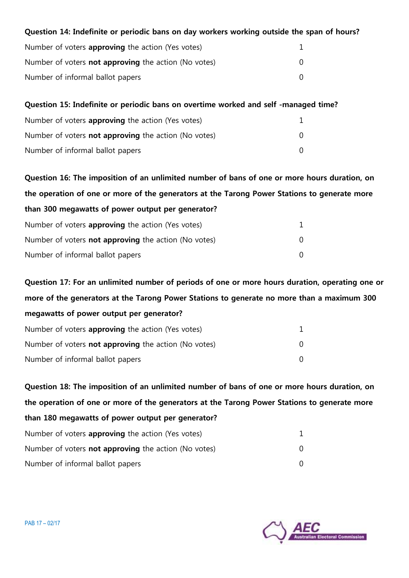| Question 14: Indefinite or periodic bans on day workers working outside the span of hours? |  |
|--------------------------------------------------------------------------------------------|--|
| Number of voters <b>approving</b> the action (Yes votes)                                   |  |
| Number of voters <b>not approving</b> the action (No votes)                                |  |
| Number of informal ballot papers                                                           |  |

# **Question 15: Indefinite or periodic bans on overtime worked and self -managed time?** Number of voters **approving** the action (Yes votes) and the state of  $\frac{1}{1}$ Number of voters **not approving** the action (No votes) 0 Number of informal ballot papers on the contract of the contract of the contract of the contract of the contract of the contract of the contract of the contract of the contract of the contract of the contract of the contra

**Question 16: The imposition of an unlimited number of bans of one or more hours duration, on the operation of one or more of the generators at the Tarong Power Stations to generate more than 300 megawatts of power output per generator?** Number of voters **approving** the action (Yes votes) and the state of  $\frac{1}{1}$ Number of voters **not approving** the action (No votes) 0 Number of informal ballot papers on the contract of the contract of the contract of the contract of the contract of the contract of the contract of the contract of the contract of the contract of the contract of the contra

**Question 17: For an unlimited number of periods of one or more hours duration, operating one or more of the generators at the Tarong Power Stations to generate no more than a maximum 300** 

| Number of voters <b>approving</b> the action (Yes votes)    |  |
|-------------------------------------------------------------|--|
| Number of voters <b>not approving</b> the action (No votes) |  |
| Number of informal ballot papers                            |  |

**megawatts of power output per generator?**

**Question 18: The imposition of an unlimited number of bans of one or more hours duration, on the operation of one or more of the generators at the Tarong Power Stations to generate more than 180 megawatts of power output per generator?** Number of voters **approving** the action (Yes votes) and the state of  $\frac{1}{1}$ Number of voters **not approving** the action (No votes) 0 Number of informal ballot papers of  $\sim$  0

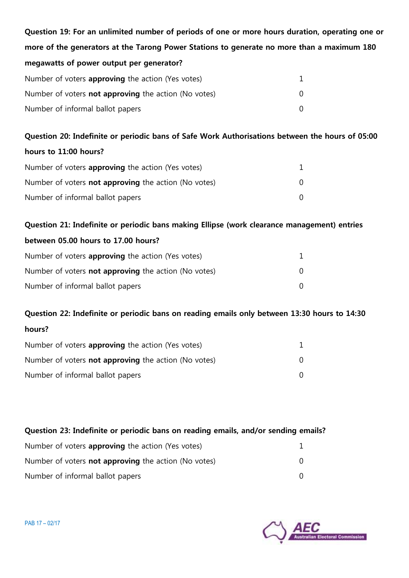**Question 19: For an unlimited number of periods of one or more hours duration, operating one or more of the generators at the Tarong Power Stations to generate no more than a maximum 180 megawatts of power output per generator?** Number of voters **approving** the action (Yes votes) 1 Number of voters **not approving** the action (No votes) 0 Number of informal ballot papers 0

### **Question 20: Indefinite or periodic bans of Safe Work Authorisations between the hours of 05:00 hours to 11:00 hours?**

| Number of voters <b>approving</b> the action (Yes votes)    |  |
|-------------------------------------------------------------|--|
| Number of voters <b>not approving</b> the action (No votes) |  |
| Number of informal ballot papers                            |  |

# **Question 21: Indefinite or periodic bans making Ellipse (work clearance management) entries between 05.00 hours to 17.00 hours?** Number of voters **approving** the action (Yes votes) and the state of  $\frac{1}{1}$ Number of voters **not approving** the action (No votes) 0 Number of informal ballot papers 0

## **Question 22: Indefinite or periodic bans on reading emails only between 13:30 hours to 14:30 hours?**

| Number of voters <b>approving</b> the action (Yes votes)    |  |
|-------------------------------------------------------------|--|
| Number of voters <b>not approving</b> the action (No votes) |  |
| Number of informal ballot papers                            |  |

#### **Question 23: Indefinite or periodic bans on reading emails, and/or sending emails?**

| Number of voters <b>approving</b> the action (Yes votes)    |  |
|-------------------------------------------------------------|--|
| Number of voters <b>not approving</b> the action (No votes) |  |
| Number of informal ballot papers                            |  |